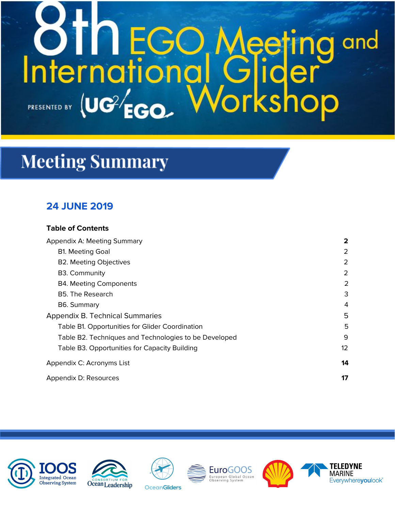# **OTNEGO Meeting<br>International Glider** and kshop PRESENTED BY (UC<sup>2/</sup>EGO.

# **Meeting Summary**

# **24 JUNE 2019**

# **Table of Contents**

| Appendix A: Meeting Summary                           | 2               |
|-------------------------------------------------------|-----------------|
| <b>B1. Meeting Goal</b>                               | 2               |
| <b>B2. Meeting Objectives</b>                         | 2               |
| B3. Community                                         | 2               |
| <b>B4. Meeting Components</b>                         | 2               |
| B5. The Research                                      | 3               |
| B6. Summary                                           | 4               |
| Appendix B. Technical Summaries                       | 5               |
| Table B1. Opportunities for Glider Coordination       | 5               |
| Table B2. Techniques and Technologies to be Developed | 9               |
| Table B3. Opportunities for Capacity Building         | 12 <sup>2</sup> |
| Appendix C: Acronyms List                             | 14              |
| Appendix D: Resources                                 | 17              |







**OceanGliders** 



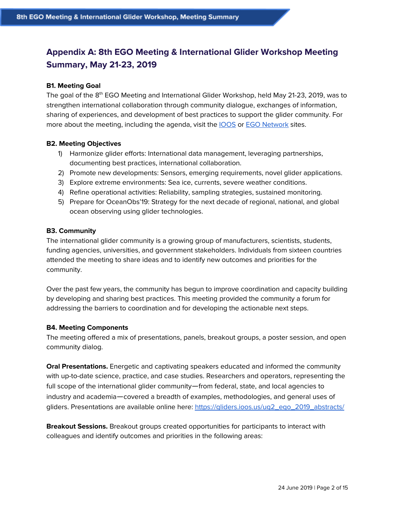# <span id="page-1-0"></span>**Appendix A: 8th EGO Meeting & International Glider Workshop Meeting Summary, May 21-23, 2019**

#### <span id="page-1-1"></span>**B1. Meeting Goal**

The goal of the 8<sup>th</sup> EGO Meeting and International Glider Workshop, held May 21-23, 2019, was to strengthen international collaboration through community dialogue, exchanges of information, sharing of experiences, and development of best practices to support the glider community. For more about the meeting, including the agenda, visit the **[IOOS](https://gliders.ioos.us/ug2_ego_2019/)** or **EGO [Network](https://www.ego-network.org/dokuwiki/doku.php)** sites.

#### <span id="page-1-2"></span>**B2. Meeting Objectives**

- 1) Harmonize glider efforts: International data management, leveraging partnerships, documenting best practices, international collaboration.
- 2) Promote new developments: Sensors, emerging requirements, novel glider applications.
- 3) Explore extreme environments: Sea ice, currents, severe weather conditions.
- 4) Refine operational activities: Reliability, sampling strategies, sustained monitoring.
- 5) Prepare for OceanObs'19: Strategy for the next decade of regional, national, and global ocean observing using glider technologies.

#### <span id="page-1-3"></span>**B3. Community**

The international glider community is a growing group of manufacturers, scientists, students, funding agencies, universities, and government stakeholders. Individuals from sixteen countries attended the meeting to share ideas and to identify new outcomes and priorities for the community.

Over the past few years, the community has begun to improve coordination and capacity building by developing and sharing best practices. This meeting provided the community a forum for addressing the barriers to coordination and for developing the actionable next steps.

#### <span id="page-1-4"></span>**B4. Meeting Components**

The meeting offered a mix of presentations, panels, breakout groups, a poster session, and open community dialog.

**Oral Presentations.** Energetic and captivating speakers educated and informed the community with up-to-date science, practice, and case studies. Researchers and operators, representing the full scope of the international glider community—from federal, state, and local agencies to industry and academia—covered a breadth of examples, methodologies, and general uses of gliders. Presentations are available online here: https://gliders.ioos.us/uq2\_eqo\_2019\_abstracts/

**Breakout Sessions.** Breakout groups created opportunities for participants to interact with colleagues and identify outcomes and priorities in the following areas: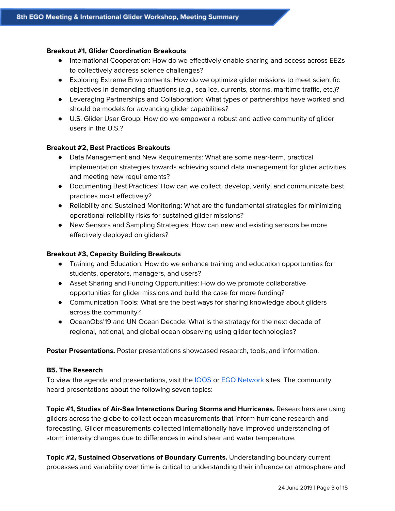#### **Breakout #1, Glider Coordination Breakouts**

- International Cooperation: How do we effectively enable sharing and access across EEZs to collectively address science challenges?
- Exploring Extreme Environments: How do we optimize glider missions to meet scientific objectives in demanding situations (e.g., sea ice, currents, storms, maritime traffic, etc.)?
- Leveraging Partnerships and Collaboration: What types of partnerships have worked and should be models for advancing glider capabilities?
- U.S. Glider User Group: How do we empower a robust and active community of glider users in the U.S.?

#### **Breakout #2, Best Practices Breakouts**

- Data Management and New Requirements: What are some near-term, practical implementation strategies towards achieving sound data management for glider activities and meeting new requirements?
- Documenting Best Practices: How can we collect, develop, verify, and communicate best practices most effectively?
- Reliability and Sustained Monitoring: What are the fundamental strategies for minimizing operational reliability risks for sustained glider missions?
- New Sensors and Sampling Strategies: How can new and existing sensors be more effectively deployed on gliders?

#### **Breakout #3, Capacity Building Breakouts**

- Training and Education: How do we enhance training and education opportunities for students, operators, managers, and users?
- Asset Sharing and Funding Opportunities: How do we promote collaborative opportunities for glider missions and build the case for more funding?
- Communication Tools: What are the best ways for sharing knowledge about gliders across the community?
- OceanObs'19 and UN Ocean Decade: What is the strategy for the next decade of regional, national, and global ocean observing using glider technologies?

**Poster Presentations.** Poster presentations showcased research, tools, and information.

#### <span id="page-2-0"></span>**B5. The Research**

To view the agenda and presentations, visit the **[IOOS](https://gliders.ioos.us/ug2_ego_2019/)** or **EGO [Network](https://www.ego-network.org/dokuwiki/doku.php)** sites. The community heard presentations about the following seven topics:

**Topic #1, Studies of Air-Sea Interactions During Storms and Hurricanes.** Researchers are using gliders across the globe to collect ocean measurements that inform hurricane research and forecasting. Glider measurements collected internationally have improved understanding of storm intensity changes due to differences in wind shear and water temperature.

**Topic #2, Sustained Observations of Boundary Currents.** Understanding boundary current processes and variability over time is critical to understanding their influence on atmosphere and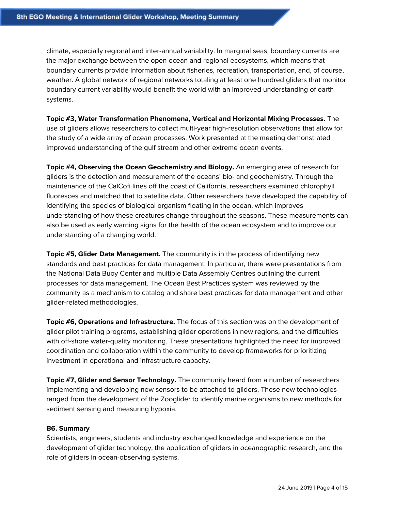climate, especially regional and inter-annual variability. In marginal seas, boundary currents are the major exchange between the open ocean and regional ecosystems, which means that boundary currents provide information about fisheries, recreation, transportation, and, of course, weather. A global network of regional networks totaling at least one hundred gliders that monitor boundary current variability would benefit the world with an improved understanding of earth systems.

**Topic #3, Water Transformation Phenomena, Vertical and Horizontal Mixing Processes.** The use of gliders allows researchers to collect multi-year high-resolution observations that allow for the study of a wide array of ocean processes. Work presented at the meeting demonstrated improved understanding of the gulf stream and other extreme ocean events.

**Topic #4, Observing the Ocean Geochemistry and Biology.** An emerging area of research for gliders is the detection and measurement of the oceans' bio- and geochemistry. Through the maintenance of the CalCofi lines off the coast of California, researchers examined chlorophyll fluoresces and matched that to satellite data. Other researchers have developed the capability of identifying the species of biological organism floating in the ocean, which improves understanding of how these creatures change throughout the seasons. These measurements can also be used as early warning signs for the health of the ocean ecosystem and to improve our understanding of a changing world.

**Topic #5, Glider Data Management.** The community is in the process of identifying new standards and best practices for data management. In particular, there were presentations from the National Data Buoy Center and multiple Data Assembly Centres outlining the current processes for data management. The Ocean Best Practices system was reviewed by the community as a mechanism to catalog and share best practices for data management and other glider-related methodologies.

**Topic #6, Operations and Infrastructure.** The focus of this section was on the development of glider pilot training programs, establishing glider operations in new regions, and the difficulties with off-shore water-quality monitoring. These presentations highlighted the need for improved coordination and collaboration within the community to develop frameworks for prioritizing investment in operational and infrastructure capacity.

**Topic #7, Glider and Sensor Technology.** The community heard from a number of researchers implementing and developing new sensors to be attached to gliders. These new technologies ranged from the development of the Zooglider to identify marine organisms to new methods for sediment sensing and measuring hypoxia.

#### <span id="page-3-0"></span>**B6. Summary**

Scientists, engineers, students and industry exchanged knowledge and experience on the development of glider technology, the application of gliders in oceanographic research, and the role of gliders in ocean-observing systems.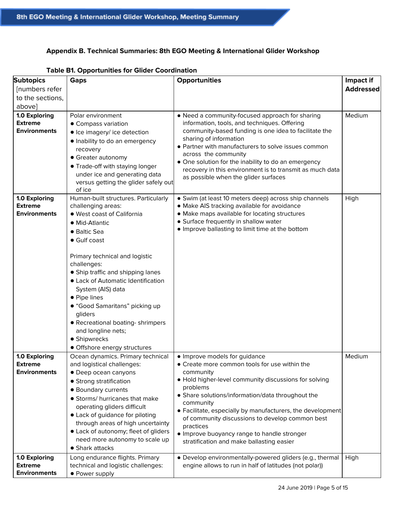## <span id="page-4-0"></span>**Appendix B. Technical Summaries: 8th EGO Meeting & International Glider Workshop**

| <b>Subtopics</b><br>[numbers refer<br>to the sections,<br>above] | rapic Bill Opportunities for Onder Occidination<br><b>Gaps</b>                                                                                                                                                                                                                                                                                                                                                                                                     | <b>Opportunities</b>                                                                                                                                                                                                                                                                                                                                                                                                                                         | Impact if<br><b>Addressed</b> |
|------------------------------------------------------------------|--------------------------------------------------------------------------------------------------------------------------------------------------------------------------------------------------------------------------------------------------------------------------------------------------------------------------------------------------------------------------------------------------------------------------------------------------------------------|--------------------------------------------------------------------------------------------------------------------------------------------------------------------------------------------------------------------------------------------------------------------------------------------------------------------------------------------------------------------------------------------------------------------------------------------------------------|-------------------------------|
| 1.0 Exploring<br><b>Extreme</b><br><b>Environments</b>           | Polar environment<br>• Compass variation<br>• Ice imagery/ ice detection<br>· Inability to do an emergency<br>recovery<br>• Greater autonomy<br>• Trade-off with staying longer<br>under ice and generating data<br>versus getting the glider safely out<br>of ice                                                                                                                                                                                                 | • Need a community-focused approach for sharing<br>information, tools, and techniques. Offering<br>community-based funding is one idea to facilitate the<br>sharing of information<br>• Partner with manufacturers to solve issues common<br>across the community<br>• One solution for the inability to do an emergency<br>recovery in this environment is to transmit as much data<br>as possible when the glider surfaces                                 | Medium                        |
| 1.0 Exploring<br><b>Extreme</b><br><b>Environments</b>           | Human-built structures. Particularly<br>challenging areas:<br>· West coast of California<br>• Mid-Atlantic<br>• Baltic Sea<br>• Gulf coast<br>Primary technical and logistic<br>challenges:<br>• Ship traffic and shipping lanes<br>• Lack of Automatic Identification<br>System (AIS) data<br>• Pipe lines<br>• "Good Samaritans" picking up<br>gliders<br>• Recreational boating-shrimpers<br>and longline nets;<br>• Shipwrecks<br>• Offshore energy structures | • Swim (at least 10 meters deep) across ship channels<br>• Make AIS tracking available for avoidance<br>• Make maps available for locating structures<br>· Surface frequently in shallow water<br>. Improve ballasting to limit time at the bottom                                                                                                                                                                                                           | High                          |
| 1.0 Exploring<br><b>Extreme</b><br><b>Environments</b>           | Ocean dynamics. Primary technical<br>and logistical challenges:<br>• Deep ocean canyons<br>• Strong stratification<br>• Boundary currents<br>• Storms/ hurricanes that make<br>operating gliders difficult<br>• Lack of guidance for piloting<br>through areas of high uncertainty<br>• Lack of autonomy; fleet of gliders<br>need more autonomy to scale up<br>• Shark attacks                                                                                    | • Improve models for guidance<br>• Create more common tools for use within the<br>community<br>. Hold higher-level community discussions for solving<br>problems<br>• Share solutions/information/data throughout the<br>community<br>• Facilitate, especially by manufacturers, the development<br>of community discussions to develop common best<br>practices<br>. Improve buoyancy range to handle stronger<br>stratification and make ballasting easier | Medium                        |
| 1.0 Exploring<br><b>Extreme</b><br><b>Environments</b>           | Long endurance flights. Primary<br>technical and logistic challenges:<br>• Power supply                                                                                                                                                                                                                                                                                                                                                                            | • Develop environmentally-powered gliders (e.g., thermal<br>engine allows to run in half of latitudes (not polar))                                                                                                                                                                                                                                                                                                                                           | High                          |

#### <span id="page-4-1"></span>**Table B1. Opportunities for Glider Coordination**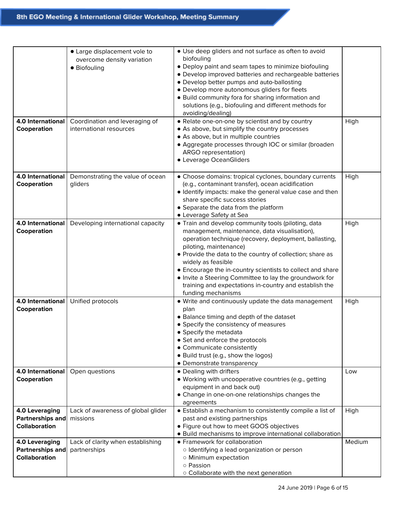| 4.0 International                                          | • Large displacement vole to<br>overcome density variation<br>• Biofouling<br>Coordination and leveraging of | • Use deep gliders and not surface as often to avoid<br>biofouling<br>• Deploy paint and seam tapes to minimize biofouling<br>• Develop improved batteries and rechargeable batteries<br>• Develop better pumps and auto-ballosting<br>• Develop more autonomous gliders for fleets<br>• Build community fora for sharing information and<br>solutions (e.g., biofouling and different methods for<br>avoiding/dealing)<br>• Relate one-on-one by scientist and by country           | High   |
|------------------------------------------------------------|--------------------------------------------------------------------------------------------------------------|--------------------------------------------------------------------------------------------------------------------------------------------------------------------------------------------------------------------------------------------------------------------------------------------------------------------------------------------------------------------------------------------------------------------------------------------------------------------------------------|--------|
| Cooperation                                                | international resources                                                                                      | • As above, but simplify the country processes<br>• As above, but in multiple countries<br>• Aggregate processes through IOC or similar (broaden<br>ARGO representation)<br>• Leverage OceanGliders                                                                                                                                                                                                                                                                                  |        |
| 4.0 International<br>Cooperation                           | Demonstrating the value of ocean<br>gliders                                                                  | • Choose domains: tropical cyclones, boundary currents<br>(e.g., contaminant transfer), ocean acidification<br>· Identify impacts: make the general value case and then<br>share specific success stories<br>• Separate the data from the platform<br>• Leverage Safety at Sea                                                                                                                                                                                                       | High   |
| 4.0 International<br>Cooperation                           | Developing international capacity                                                                            | • Train and develop community tools (piloting, data<br>management, maintenance, data visualisation),<br>operation technique (recovery, deployment, ballasting,<br>piloting, maintenance)<br>• Provide the data to the country of collection; share as<br>widely as feasible<br>• Encourage the in-country scientists to collect and share<br>• Invite a Steering Committee to lay the groundwork for<br>training and expectations in-country and establish the<br>funding mechanisms | High   |
| <b>4.0 International</b><br>Cooperation                    | Unified protocols                                                                                            | . Write and continuously update the data management<br>plan<br>• Balance timing and depth of the dataset<br>• Specify the consistency of measures<br>• Specify the metadata<br>• Set and enforce the protocols<br>• Communicate consistently<br>• Build trust (e.g., show the logos)<br>• Demonstrate transparency                                                                                                                                                                   | High   |
| 4.0 International<br>Cooperation                           | Open questions                                                                                               | • Dealing with drifters<br>· Working with uncooperative countries (e.g., getting<br>equipment in and back out)<br>• Change in one-on-one relationships changes the<br>agreements                                                                                                                                                                                                                                                                                                     | Low    |
| 4.0 Leveraging<br>Partnerships and<br><b>Collaboration</b> | Lack of awareness of global glider<br>missions                                                               | • Establish a mechanism to consistently compile a list of<br>past and existing partnerships<br>• Figure out how to meet GOOS objectives<br>• Build mechanisms to improve international collaboration                                                                                                                                                                                                                                                                                 | High   |
| 4.0 Leveraging<br>Partnerships and<br><b>Collaboration</b> | Lack of clarity when establishing<br>partnerships                                                            | • Framework for collaboration<br>o Identifying a lead organization or person<br>o Minimum expectation<br>o Passion<br>o Collaborate with the next generation                                                                                                                                                                                                                                                                                                                         | Medium |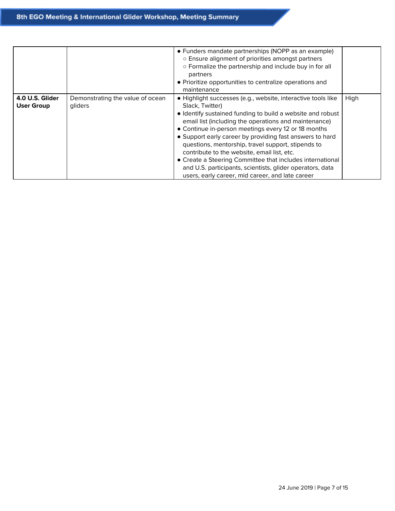|                                      |                                             | • Funders mandate partnerships (NOPP as an example)<br>o Ensure alignment of priorities amongst partners<br>o Formalize the partnership and include buy in for all<br>partners<br>• Prioritize opportunities to centralize operations and<br>maintenance                                                                                                                                                                                                                                                                                                                                                     |      |
|--------------------------------------|---------------------------------------------|--------------------------------------------------------------------------------------------------------------------------------------------------------------------------------------------------------------------------------------------------------------------------------------------------------------------------------------------------------------------------------------------------------------------------------------------------------------------------------------------------------------------------------------------------------------------------------------------------------------|------|
| 4.0 U.S. Glider<br><b>User Group</b> | Demonstrating the value of ocean<br>gliders | · Highlight successes (e.g., website, interactive tools like<br>Slack, Twitter)<br>• Identify sustained funding to build a website and robust<br>email list (including the operations and maintenance)<br>• Continue in-person meetings every 12 or 18 months<br>• Support early career by providing fast answers to hard<br>questions, mentorship, travel support, stipends to<br>contribute to the website, email list, etc.<br>• Create a Steering Committee that includes international<br>and U.S. participants, scientists, glider operators, data<br>users, early career, mid career, and late career | High |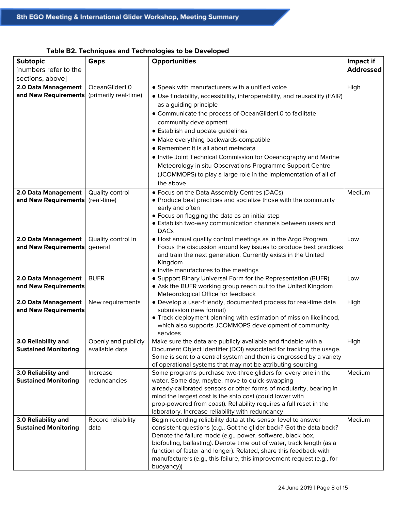| <b>Subtopic</b>             | <b>Gaps</b>                   | Opportunities                                                                                                                | Impact if        |
|-----------------------------|-------------------------------|------------------------------------------------------------------------------------------------------------------------------|------------------|
| [numbers refer to the       |                               |                                                                                                                              | <b>Addressed</b> |
| sections, above]            |                               |                                                                                                                              |                  |
| 2.0 Data Management         | OceanGlider1.0                | • Speak with manufacturers with a unified voice                                                                              | High             |
| and New Requirements        | (primarily real-time)         | • Use findability, accessibility, interoperability, and reusability (FAIR)                                                   |                  |
|                             |                               | as a guiding principle                                                                                                       |                  |
|                             |                               | • Communicate the process of OceanGlider1.0 to facilitate                                                                    |                  |
|                             |                               | community development                                                                                                        |                  |
|                             |                               | • Establish and update guidelines                                                                                            |                  |
|                             |                               |                                                                                                                              |                  |
|                             |                               | · Make everything backwards-compatible<br>• Remember: It is all about metadata                                               |                  |
|                             |                               |                                                                                                                              |                  |
|                             |                               | . Invite Joint Technical Commission for Oceanography and Marine                                                              |                  |
|                             |                               | Meteorology in situ Observations Programme Support Centre                                                                    |                  |
|                             |                               | (JCOMMOPS) to play a large role in the implementation of all of                                                              |                  |
|                             |                               | the above                                                                                                                    |                  |
| 2.0 Data Management         | Quality control               | • Focus on the Data Assembly Centres (DACs)                                                                                  | Medium           |
| and New Requirements        | (real-time)                   | • Produce best practices and socialize those with the community                                                              |                  |
|                             |                               | early and often                                                                                                              |                  |
|                             |                               | • Focus on flagging the data as an initial step                                                                              |                  |
|                             |                               | • Establish two-way communication channels between users and                                                                 |                  |
| 2.0 Data Management         |                               | <b>DACs</b><br>. Host annual quality control meetings as in the Argo Program.                                                | Low              |
| and New Requirements        | Quality control in<br>general | Focus the discussion around key issues to produce best practices                                                             |                  |
|                             |                               | and train the next generation. Currently exists in the United                                                                |                  |
|                             |                               | Kingdom                                                                                                                      |                  |
|                             |                               | . Invite manufactures to the meetings                                                                                        |                  |
| 2.0 Data Management         | <b>BUFR</b>                   | • Support Binary Universal Form for the Representation (BUFR)                                                                | Low              |
| and New Requirements        |                               | • Ask the BUFR working group reach out to the United Kingdom                                                                 |                  |
|                             |                               | Meteorological Office for feedback                                                                                           |                  |
| 2.0 Data Management         | New requirements              | · Develop a user-friendly, documented process for real-time data                                                             | High             |
| and New Requirements        |                               | submission (new format)                                                                                                      |                  |
|                             |                               | • Track deployment planning with estimation of mission likelihood,                                                           |                  |
|                             |                               | which also supports JCOMMOPS development of community                                                                        |                  |
|                             |                               | services                                                                                                                     |                  |
| 3.0 Reliability and         | Openly and publicly           | Make sure the data are publicly available and findable with a                                                                | High             |
| <b>Sustained Monitoring</b> | available data                | Document Object Identifier (DOI) associated for tracking the usage.                                                          |                  |
|                             |                               | Some is sent to a central system and then is engrossed by a variety                                                          |                  |
| 3.0 Reliability and         | Increase                      | of operational systems that may not be attributing sourcing<br>Some programs purchase two-three gliders for every one in the | Medium           |
| <b>Sustained Monitoring</b> | redundancies                  | water. Some day, maybe, move to quick-swapping                                                                               |                  |
|                             |                               | already-calibrated sensors or other forms of modularity, bearing in                                                          |                  |
|                             |                               | mind the largest cost is the ship cost (could lower with                                                                     |                  |
|                             |                               | prop-powered from coast). Reliability requires a full reset in the                                                           |                  |
|                             |                               | laboratory. Increase reliability with redundancy                                                                             |                  |
| 3.0 Reliability and         | Record reliability            | Begin recording reliability data at the sensor level to answer                                                               | Medium           |
| <b>Sustained Monitoring</b> | data                          | consistent questions (e.g., Got the glider back? Got the data back?                                                          |                  |
|                             |                               | Denote the failure mode (e.g., power, software, black box,                                                                   |                  |
|                             |                               | biofouling, ballasting). Denote time out of water, track length (as a                                                        |                  |
|                             |                               | function of faster and longer). Related, share this feedback with                                                            |                  |
|                             |                               | manufacturers (e.g., this failure, this improvement request (e.g., for                                                       |                  |
|                             |                               | buoyancy))                                                                                                                   |                  |

## <span id="page-7-0"></span>**Table B2. Techniques and Technologies to be Developed**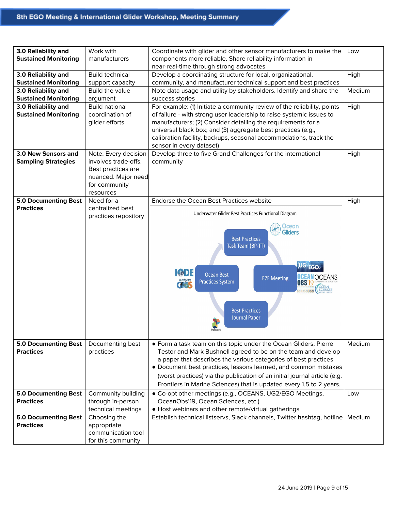| 3.0 Reliability and<br><b>Sustained Monitoring</b> | Work with<br>manufacturers                   | Coordinate with glider and other sensor manufacturers to make the<br>components more reliable. Share reliability information in | Low    |
|----------------------------------------------------|----------------------------------------------|---------------------------------------------------------------------------------------------------------------------------------|--------|
|                                                    |                                              | near-real-time through strong advocates                                                                                         |        |
| 3.0 Reliability and                                | <b>Build technical</b>                       | Develop a coordinating structure for local, organizational,                                                                     | High   |
| <b>Sustained Monitoring</b>                        | support capacity                             | community, and manufacturer technical support and best practices                                                                |        |
| 3.0 Reliability and                                | Build the value                              | Note data usage and utility by stakeholders. Identify and share the                                                             | Medium |
| <b>Sustained Monitoring</b>                        | argument                                     | success stories                                                                                                                 |        |
| 3.0 Reliability and                                | <b>Build national</b>                        | For example: (1) Initiate a community review of the reliability, points                                                         | High   |
| <b>Sustained Monitoring</b>                        | coordination of                              | of failure - with strong user leadership to raise systemic issues to                                                            |        |
|                                                    | glider efforts                               | manufacturers; (2) Consider detailing the requirements for a                                                                    |        |
|                                                    |                                              | universal black box; and (3) aggregate best practices (e.g.,                                                                    |        |
|                                                    |                                              | calibration facility, backups, seasonal accommodations, track the                                                               |        |
| 3.0 New Sensors and                                |                                              | sensor in every dataset)<br>Develop three to five Grand Challenges for the international                                        |        |
| <b>Sampling Strategies</b>                         | Note: Every decision<br>involves trade-offs. | community                                                                                                                       | High   |
|                                                    | Best practices are                           |                                                                                                                                 |        |
|                                                    | nuanced. Major need                          |                                                                                                                                 |        |
|                                                    | for community                                |                                                                                                                                 |        |
|                                                    | resources                                    |                                                                                                                                 |        |
| <b>5.0 Documenting Best</b>                        | Need for a                                   | Endorse the Ocean Best Practices website                                                                                        | High   |
| <b>Practices</b>                                   | centralized best                             |                                                                                                                                 |        |
|                                                    | practices repository                         | Underwater Glider Best Practices Functional Diagram                                                                             |        |
|                                                    |                                              | Ocean<br><b>Gliders</b>                                                                                                         |        |
|                                                    |                                              | <b>Best Practices</b>                                                                                                           |        |
|                                                    |                                              | Task Team (BP-TT)                                                                                                               |        |
|                                                    |                                              |                                                                                                                                 |        |
|                                                    |                                              |                                                                                                                                 |        |
|                                                    |                                              | UG EGO<br>$\bigcirc$ DE<br><b>Ocean Best</b>                                                                                    |        |
|                                                    |                                              | <b>DCEAN OCEANS</b><br><b>F2F Meeting</b><br><b>Practices System</b><br><b>OBS'19</b>                                           |        |
|                                                    |                                              | George System<br><b>OCEAN</b><br>SCIENCES                                                                                       |        |
|                                                    |                                              |                                                                                                                                 |        |
|                                                    |                                              |                                                                                                                                 |        |
|                                                    |                                              | <b>Best Practices</b><br><b>Journal Paper</b>                                                                                   |        |
|                                                    |                                              |                                                                                                                                 |        |
|                                                    |                                              |                                                                                                                                 |        |
| <b>5.0 Documenting Best</b>                        | Documenting best                             | • Form a task team on this topic under the Ocean Gliders; Pierre                                                                | Medium |
| <b>Practices</b>                                   | practices                                    | Testor and Mark Bushnell agreed to be on the team and develop                                                                   |        |
|                                                    |                                              | a paper that describes the various categories of best practices                                                                 |        |
|                                                    |                                              | • Document best practices, lessons learned, and common mistakes                                                                 |        |
|                                                    |                                              | (worst practices) via the publication of an initial journal article (e.g.                                                       |        |
|                                                    |                                              | Frontiers in Marine Sciences) that is updated every 1.5 to 2 years.                                                             |        |
| <b>5.0 Documenting Best</b>                        | Community building                           | • Co-opt other meetings (e.g., OCEANS, UG2/EGO Meetings,                                                                        | Low    |
| <b>Practices</b>                                   | through in-person                            | OceanObs'19, Ocean Sciences, etc.)                                                                                              |        |
|                                                    | technical meetings                           | • Host webinars and other remote/virtual gatherings                                                                             |        |
| <b>5.0 Documenting Best</b>                        | Choosing the                                 | Establish technical listservs, Slack channels, Twitter hashtag, hotline                                                         | Medium |
| <b>Practices</b>                                   | appropriate                                  |                                                                                                                                 |        |
|                                                    | communication tool                           |                                                                                                                                 |        |
|                                                    | for this community                           |                                                                                                                                 |        |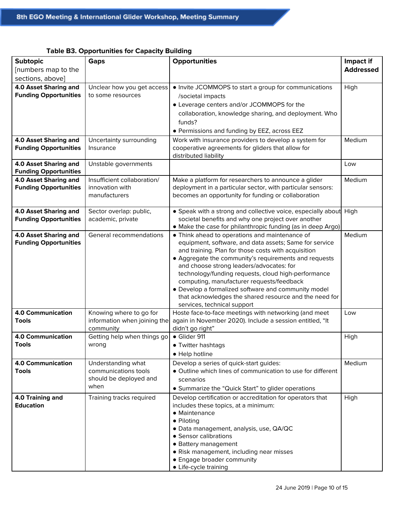| <b>Subtopic</b>                                       | Gaps                         | <b>Opportunities</b>                                              | Impact if        |
|-------------------------------------------------------|------------------------------|-------------------------------------------------------------------|------------------|
| [numbers map to the                                   |                              |                                                                   | <b>Addressed</b> |
| sections, above]                                      |                              |                                                                   |                  |
| 4.0 Asset Sharing and                                 | Unclear how you get access   | • Invite JCOMMOPS to start a group for communications             | High             |
| <b>Funding Opportunities</b>                          | to some resources            | /societal impacts                                                 |                  |
|                                                       |                              | • Leverage centers and/or JCOMMOPS for the                        |                  |
|                                                       |                              | collaboration, knowledge sharing, and deployment. Who             |                  |
|                                                       |                              | funds?                                                            |                  |
|                                                       |                              |                                                                   |                  |
|                                                       |                              | • Permissions and funding by EEZ, across EEZ                      |                  |
| 4.0 Asset Sharing and                                 | Uncertainty surrounding      | Work with insurance providers to develop a system for             | Medium           |
| <b>Funding Opportunities</b>                          | Insurance                    | cooperative agreements for gliders that allow for                 |                  |
|                                                       |                              | distributed liability                                             |                  |
| 4.0 Asset Sharing and                                 | Unstable governments         |                                                                   | Low              |
| <b>Funding Opportunities</b><br>4.0 Asset Sharing and | Insufficient collaboration/  | Make a platform for researchers to announce a glider              | Medium           |
| <b>Funding Opportunities</b>                          | innovation with              | deployment in a particular sector, with particular sensors:       |                  |
|                                                       | manufacturers                | becomes an opportunity for funding or collaboration               |                  |
|                                                       |                              |                                                                   |                  |
| 4.0 Asset Sharing and                                 | Sector overlap: public,      | • Speak with a strong and collective voice, especially about High |                  |
| <b>Funding Opportunities</b>                          | academic, private            | societal benefits and why one project over another                |                  |
|                                                       |                              | • Make the case for philanthropic funding (as in deep Argo)       |                  |
| 4.0 Asset Sharing and                                 | General recommendations      | • Think ahead to operations and maintenance of                    | Medium           |
| <b>Funding Opportunities</b>                          |                              | equipment, software, and data assets; Same for service            |                  |
|                                                       |                              | and training. Plan for those costs with acquisition               |                  |
|                                                       |                              | • Aggregate the community's requirements and requests             |                  |
|                                                       |                              | and choose strong leaders/advocates: for                          |                  |
|                                                       |                              | technology/funding requests, cloud high-performance               |                  |
|                                                       |                              | computing, manufacturer requests/feedback                         |                  |
|                                                       |                              | • Develop a formalized software and community model               |                  |
|                                                       |                              | that acknowledges the shared resource and the need for            |                  |
|                                                       |                              | services, technical support                                       |                  |
| <b>4.0 Communication</b>                              | Knowing where to go for      | Hoste face-to-face meetings with networking (and meet             | Low              |
| <b>Tools</b>                                          | information when joining the | again in November 2020). Include a session entitled, "It          |                  |
|                                                       | community                    | didn't go right"                                                  |                  |
| <b>4.0 Communication</b>                              | Getting help when things go  | • Glider 911                                                      | High             |
| Tools                                                 | wrong                        | Twitter hashtags                                                  |                  |
|                                                       |                              | • Help hotline                                                    |                  |
| <b>4.0 Communication</b>                              | Understanding what           | Develop a series of quick-start guides:                           | Medium           |
| <b>Tools</b>                                          | communications tools         | • Outline which lines of communication to use for different       |                  |
|                                                       | should be deployed and       | scenarios                                                         |                  |
|                                                       | when                         | • Summarize the "Quick Start" to glider operations                |                  |
| 4.0 Training and                                      | Training tracks required     | Develop certification or accreditation for operators that         | High             |
| <b>Education</b>                                      |                              | includes these topics, at a minimum:                              |                  |
|                                                       |                              | • Maintenance                                                     |                  |
|                                                       |                              | • Piloting                                                        |                  |
|                                                       |                              | · Data management, analysis, use, QA/QC                           |                  |
|                                                       |                              | • Sensor calibrations                                             |                  |
|                                                       |                              | • Battery management                                              |                  |
|                                                       |                              | · Risk management, including near misses                          |                  |
|                                                       |                              | • Engage broader community                                        |                  |
|                                                       |                              | • Life-cycle training                                             |                  |

# **Table B3. Opportunities for Capacity Building**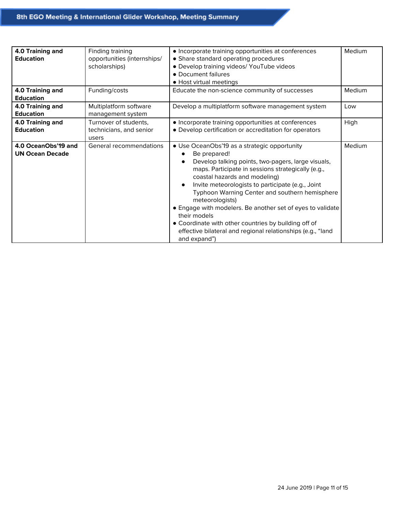| 4.0 Training and<br><b>Education</b>          | Finding training<br>opportunities (internships/<br>scholarships) | • Incorporate training opportunities at conferences<br>• Share standard operating procedures<br>· Develop training videos/ YouTube videos<br>• Document failures<br>• Host virtual meetings                                                                                                                                                                                                                                                                                                                                                                           | Medium |
|-----------------------------------------------|------------------------------------------------------------------|-----------------------------------------------------------------------------------------------------------------------------------------------------------------------------------------------------------------------------------------------------------------------------------------------------------------------------------------------------------------------------------------------------------------------------------------------------------------------------------------------------------------------------------------------------------------------|--------|
| 4.0 Training and<br><b>Education</b>          | Funding/costs                                                    | Educate the non-science community of successes                                                                                                                                                                                                                                                                                                                                                                                                                                                                                                                        | Medium |
| 4.0 Training and<br><b>Education</b>          | Multiplatform software<br>management system                      | Develop a multiplatform software management system                                                                                                                                                                                                                                                                                                                                                                                                                                                                                                                    | Low    |
| 4.0 Training and<br><b>Education</b>          | Turnover of students,<br>technicians, and senior<br>users        | • Incorporate training opportunities at conferences<br>• Develop certification or accreditation for operators                                                                                                                                                                                                                                                                                                                                                                                                                                                         | High   |
| 4.0 OceanObs'19 and<br><b>UN Ocean Decade</b> | General recommendations                                          | • Use OceanObs'19 as a strategic opportunity<br>Be prepared!<br>Develop talking points, two-pagers, large visuals,<br>maps. Participate in sessions strategically (e.g.,<br>coastal hazards and modeling)<br>Invite meteorologists to participate (e.g., Joint<br>$\bullet$<br>Typhoon Warning Center and southern hemisphere<br>meteorologists)<br>• Engage with modelers. Be another set of eyes to validate<br>their models<br>• Coordinate with other countries by building off of<br>effective bilateral and regional relationships (e.g., "land<br>and expand") | Medium |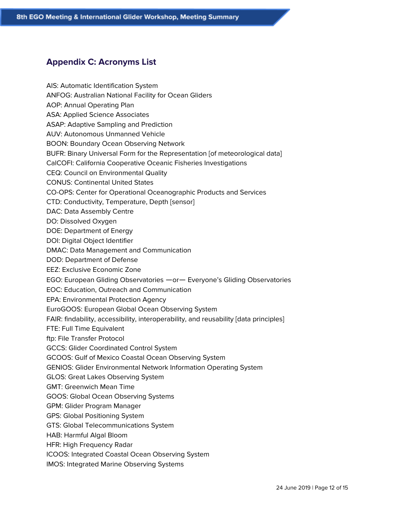# <span id="page-11-0"></span>**Appendix C: Acronyms List**

AIS: Automatic Identification System ANFOG: Australian National Facility for Ocean Gliders AOP: Annual Operating Plan ASA: Applied Science Associates ASAP: Adaptive Sampling and Prediction AUV: Autonomous Unmanned Vehicle BOON: Boundary Ocean Observing Network BUFR: Binary Universal Form for the Representation [of meteorological data] CalCOFI: California Cooperative Oceanic Fisheries Investigations CEQ: Council on Environmental Quality CONUS: Continental United States CO-OPS: Center for Operational Oceanographic Products and Services CTD: Conductivity, Temperature, Depth [sensor] DAC: Data Assembly Centre DO: Dissolved Oxygen DOE: Department of Energy DOI: Digital Object Identifier DMAC: Data Management and Communication DOD: Department of Defense EEZ: Exclusive Economic Zone EGO: European Gliding Observatories —or— Everyone's Gliding Observatories EOC: Education, Outreach and Communication EPA: Environmental Protection Agency EuroGOOS: European Global Ocean Observing System FAIR: findability, accessibility, interoperability, and reusability [data principles] FTE: Full Time Equivalent ftp: File Transfer Protocol GCCS: Glider Coordinated Control System GCOOS: Gulf of Mexico Coastal Ocean Observing System GENIOS: Glider Environmental Network Information Operating System GLOS: Great Lakes Observing System GMT: Greenwich Mean Time GOOS: Global Ocean Observing Systems GPM: Glider Program Manager GPS: Global Positioning System GTS: Global Telecommunications System HAB: Harmful Algal Bloom HFR: High Frequency Radar ICOOS: Integrated Coastal Ocean Observing System IMOS: Integrated Marine Observing Systems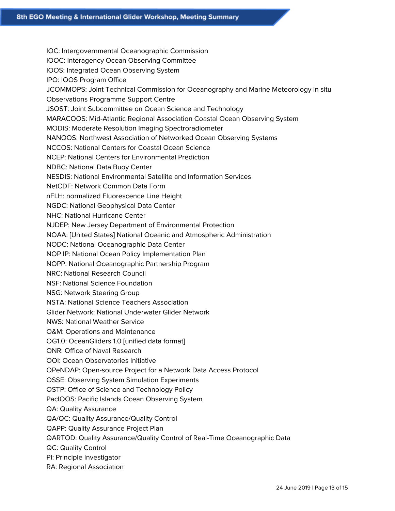IOC: Intergovernmental Oceanographic Commission IOOC: Interagency Ocean Observing Committee IOOS: Integrated Ocean Observing System IPO: IOOS Program Office JCOMMOPS: Joint Technical Commission for Oceanography and Marine Meteorology in situ Observations Programme Support Centre JSOST: Joint Subcommittee on Ocean Science and Technology MARACOOS: Mid-Atlantic Regional Association Coastal Ocean Observing System MODIS: Moderate Resolution Imaging Spectroradiometer NANOOS: Northwest Association of Networked Ocean Observing Systems NCCOS: National Centers for Coastal Ocean Science NCEP: National Centers for Environmental Prediction NDBC: National Data Buoy Center NESDIS: National Environmental Satellite and Information Services NetCDF: Network Common Data Form nFLH: normalized Fluorescence Line Height NGDC: National Geophysical Data Center NHC: National Hurricane Center NJDEP: New Jersey Department of Environmental Protection NOAA: [United States] National Oceanic and Atmospheric Administration NODC: National Oceanographic Data Center NOP IP: National Ocean Policy Implementation Plan NOPP: National Oceanographic Partnership Program NRC: National Research Council NSF: National Science Foundation NSG: Network Steering Group NSTA: National Science Teachers Association Glider Network: National Underwater Glider Network NWS: National Weather Service O&M: Operations and Maintenance OG1.0: OceanGliders 1.0 [unified data format] ONR: Office of Naval Research OOI: Ocean Observatories Initiative OPeNDAP: Open-source Project for a Network Data Access Protocol OSSE: Observing System Simulation Experiments OSTP: Office of Science and Technology Policy PacIOOS: Pacific Islands Ocean Observing System QA: Quality Assurance QA/QC: Quality Assurance/Quality Control QAPP: Quality Assurance Project Plan QARTOD: Quality Assurance/Quality Control of Real-Time Oceanographic Data QC: Quality Control PI: Principle Investigator RA: Regional Association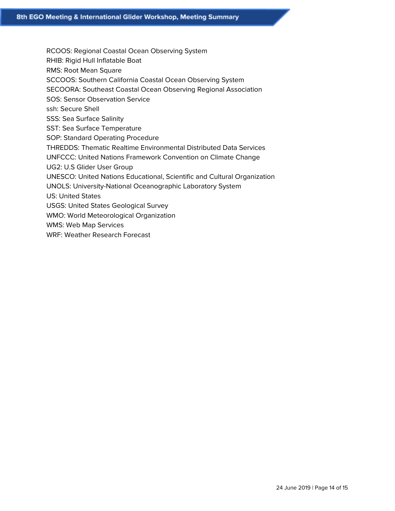- RCOOS: Regional Coastal Ocean Observing System
- RHIB: Rigid Hull Inflatable Boat
- RMS: Root Mean Square
- SCCOOS: Southern California Coastal Ocean Observing System
- SECOORA: Southeast Coastal Ocean Observing Regional Association
- SOS: Sensor Observation Service
- ssh: Secure Shell
- SSS: Sea Surface Salinity
- SST: Sea Surface Temperature
- SOP: Standard Operating Procedure
- THREDDS: Thematic Realtime Environmental Distributed Data Services
- UNFCCC: United Nations Framework Convention on Climate Change
- UG2: U.S Glider User Group
- UNESCO: United Nations Educational, Scientific and Cultural Organization
- UNOLS: University-National Oceanographic Laboratory System
- US: United States
- USGS: United States Geological Survey
- WMO: World Meteorological Organization
- WMS: Web Map Services
- WRF: Weather Research Forecast